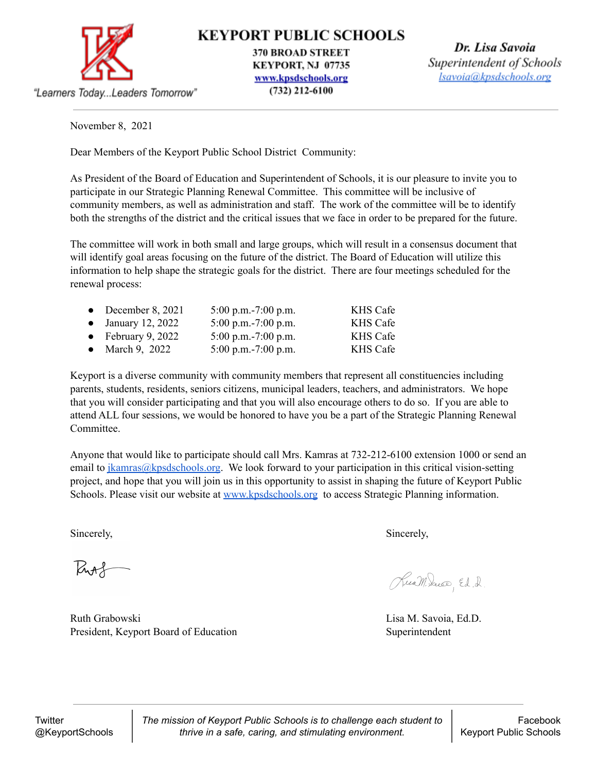

**KEYPORT PUBLIC SCHOOLS** 

**370 BROAD STREET** KEYPORT, NJ 07735 www.kpsdschools.org  $(732)$  212-6100

Dr. Lisa Savoia Superintendent of Schools lsavoia@kpsdschools.org

November 8, 2021

"Learners Today...Leaders Tomorrow"

Dear Members of the Keyport Public School District Community:

As President of the Board of Education and Superintendent of Schools, it is our pleasure to invite you to participate in our Strategic Planning Renewal Committee. This committee will be inclusive of community members, as well as administration and staff. The work of the committee will be to identify both the strengths of the district and the critical issues that we face in order to be prepared for the future.

The committee will work in both small and large groups, which will result in a consensus document that will identify goal areas focusing on the future of the district. The Board of Education will utilize this information to help shape the strategic goals for the district. There are four meetings scheduled for the renewal process:

| $5:00$ p.m. $-7:00$ p.m.                                                                  | KHS Cafe        |
|-------------------------------------------------------------------------------------------|-----------------|
| 5:00 p.m.-7:00 p.m.                                                                       | <b>KHS Cafe</b> |
| 5:00 p.m.-7:00 p.m.                                                                       | <b>KHS Cafe</b> |
| $5:00$ p.m. $-7:00$ p.m.                                                                  | <b>KHS Cafe</b> |
| • December 8, 2021<br>$\bullet$ January 12, 2022<br>• February 9, 2022<br>• March 9, 2022 |                 |

Keyport is a diverse community with community members that represent all constituencies including parents, students, residents, seniors citizens, municipal leaders, teachers, and administrators. We hope that you will consider participating and that you will also encourage others to do so. If you are able to attend ALL four sessions, we would be honored to have you be a part of the Strategic Planning Renewal Committee.

Anyone that would like to participate should call Mrs. Kamras at 732-212-6100 extension 1000 or send an email to [jkamras@kpsdschools.org](mailto:jkamras@kpsdschools.org). We look forward to your participation in this critical vision-setting project, and hope that you will join us in this opportunity to assist in shaping the future of Keyport Public Schools. Please visit our website at [www.kpsdschools.org](http://www.kpsdschools.org) to access Strategic Planning information.

Sincerely, Sincerely, Sincerely, Sincerely, Sincerely, Sincerely, Sincerely, Sincerely, Sincerely, Sincerely, Sincerely, Sincerely, Sincerely, Sincerely, Sincerely, Sincerely, Sincerely, Sincerely, Sincerely, Sincerely, Si

Putt

Ruth Grabowski **Lisa M. Savoia, Ed.D.** President, Keyport Board of Education Superintendent

Ruam Sacco, Ed. 2

*The mission of Keyport Public Schools is to challenge each student to thrive in a safe, caring, and stimulating environment.*